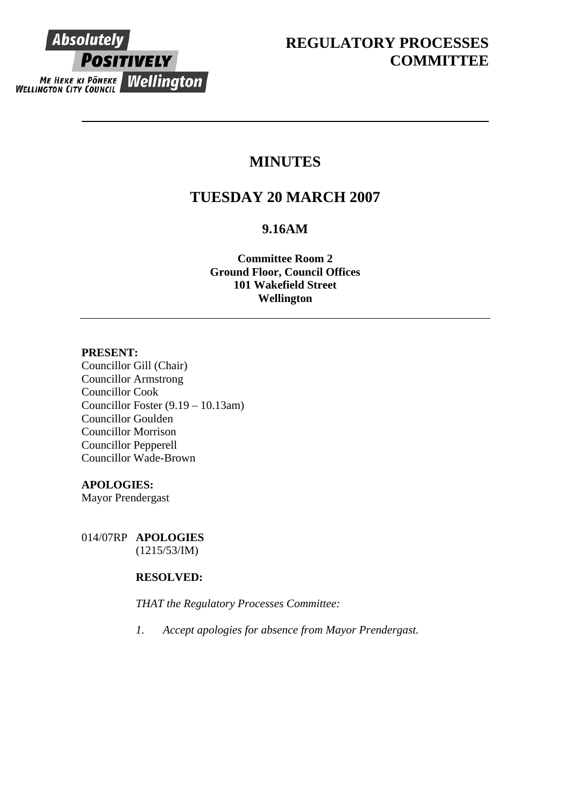

# **MINUTES**

# **TUESDAY 20 MARCH 2007**

# **9.16AM**

**Committee Room 2 Ground Floor, Council Offices 101 Wakefield Street Wellington**

# **PRESENT:**

Councillor Gill (Chair) Councillor Armstrong Councillor Cook Councillor Foster (9.19 – 10.13am) Councillor Goulden Councillor Morrison Councillor Pepperell Councillor Wade-Brown

# **APOLOGIES:**

Mayor Prendergast

014/07RP **APOLOGIES**  (1215/53/IM)

# **RESOLVED:**

*THAT the Regulatory Processes Committee:* 

*1. Accept apologies for absence from Mayor Prendergast.*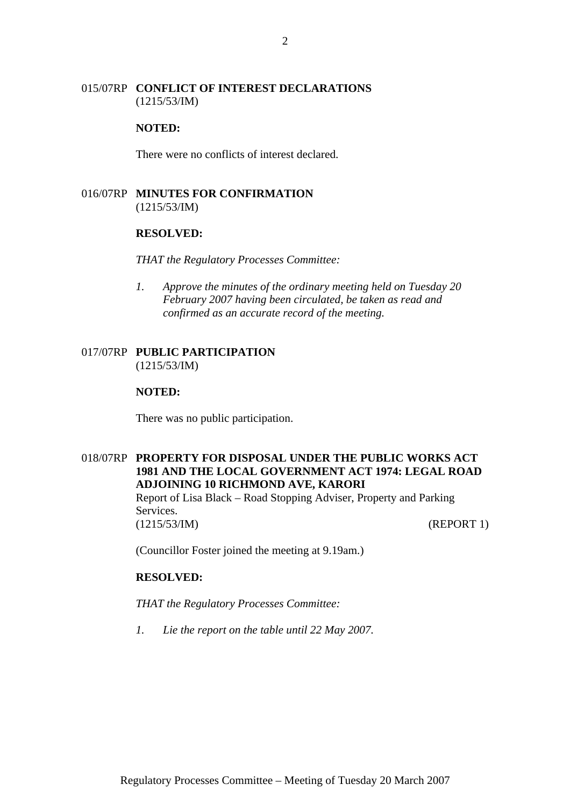# 015/07RP **CONFLICT OF INTEREST DECLARATIONS** (1215/53/IM)

#### **NOTED:**

There were no conflicts of interest declared.

# 016/07RP **MINUTES FOR CONFIRMATION** (1215/53/IM)

#### **RESOLVED:**

*THAT the Regulatory Processes Committee:* 

*1. Approve the minutes of the ordinary meeting held on Tuesday 20 February 2007 having been circulated, be taken as read and confirmed as an accurate record of the meeting.* 

# 017/07RP **PUBLIC PARTICIPATION** (1215/53/IM)

#### **NOTED:**

There was no public participation.

# 018/07RP **PROPERTY FOR DISPOSAL UNDER THE PUBLIC WORKS ACT 1981 AND THE LOCAL GOVERNMENT ACT 1974: LEGAL ROAD ADJOINING 10 RICHMOND AVE, KARORI**  Report of Lisa Black – Road Stopping Adviser, Property and Parking Services.

(1215/53/IM) (REPORT 1)

(Councillor Foster joined the meeting at 9.19am.)

### **RESOLVED:**

*THAT the Regulatory Processes Committee:* 

*1. Lie the report on the table until 22 May 2007.*